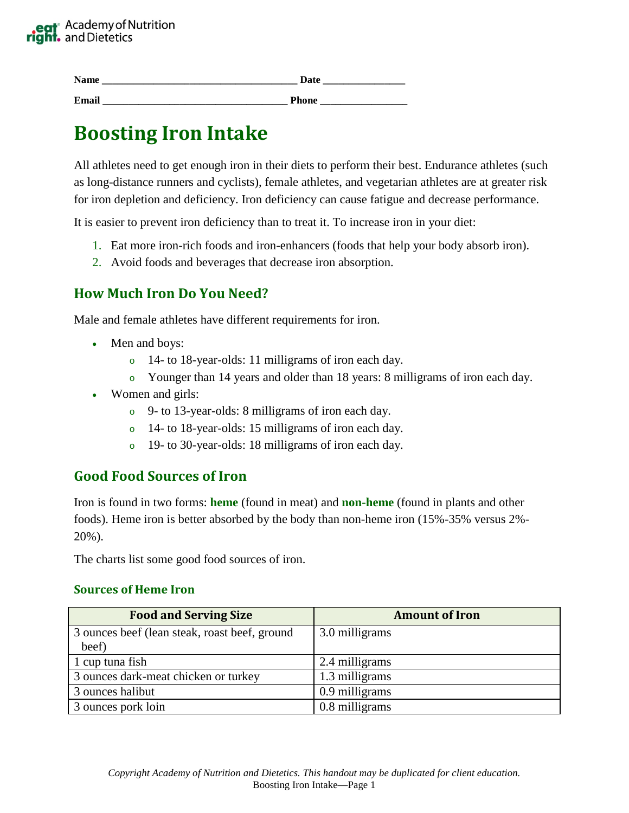

| - -<br><b>R</b> |  |  |
|-----------------|--|--|
|                 |  |  |

**Email \_\_\_\_\_\_\_\_\_\_\_\_\_\_\_\_\_\_\_\_\_\_\_\_\_\_\_\_\_\_\_\_\_\_\_\_ Phone \_\_\_\_\_\_\_\_\_\_\_\_\_\_\_\_\_**

# **Boosting Iron Intake**

All athletes need to get enough iron in their diets to perform their best. Endurance athletes (such as long-distance runners and cyclists), female athletes, and vegetarian athletes are at greater risk for iron depletion and deficiency. Iron deficiency can cause fatigue and decrease performance.

It is easier to prevent iron deficiency than to treat it. To increase iron in your diet:

- 1. Eat more iron-rich foods and iron-enhancers (foods that help your body absorb iron).
- 2. Avoid foods and beverages that decrease iron absorption.

## **How Much Iron Do You Need?**

Male and female athletes have different requirements for iron.

- Men and boys:
	- o 14- to 18-year-olds: 11 milligrams of iron each day.
	- o Younger than 14 years and older than 18 years: 8 milligrams of iron each day.
- Women and girls:
	- o 9- to 13-year-olds: 8 milligrams of iron each day.
	- o 14- to 18-year-olds: 15 milligrams of iron each day.
	- o 19- to 30-year-olds: 18 milligrams of iron each day.

## **Good Food Sources of Iron**

Iron is found in two forms: **heme** (found in meat) and **non-heme** (found in plants and other foods). Heme iron is better absorbed by the body than non-heme iron (15%-35% versus 2%- 20%).

The charts list some good food sources of iron.

#### **Sources of Heme Iron**

| <b>Food and Serving Size</b>                  | <b>Amount of Iron</b> |
|-----------------------------------------------|-----------------------|
| 3 ounces beef (lean steak, roast beef, ground | 3.0 milligrams        |
| beef)                                         |                       |
| 1 cup tuna fish                               | 2.4 milligrams        |
| 3 ounces dark-meat chicken or turkey          | 1.3 milligrams        |
| 3 ounces halibut                              | 0.9 milligrams        |
| 3 ounces pork loin                            | 0.8 milligrams        |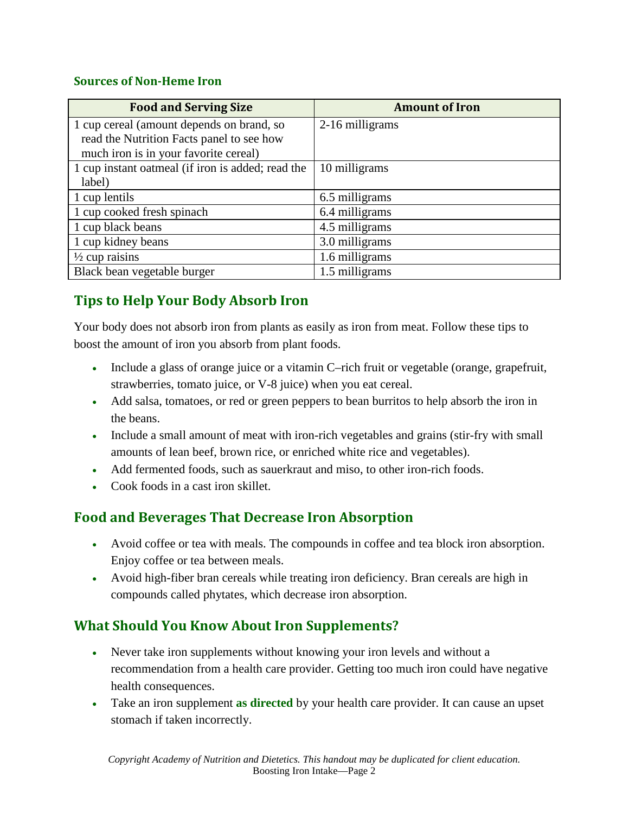### **Sources of Non-Heme Iron**

| <b>Food and Serving Size</b>                      | <b>Amount of Iron</b> |
|---------------------------------------------------|-----------------------|
| 1 cup cereal (amount depends on brand, so         | 2-16 milligrams       |
| read the Nutrition Facts panel to see how         |                       |
| much iron is in your favorite cereal)             |                       |
| 1 cup instant oatmeal (if iron is added; read the | 10 milligrams         |
| label)                                            |                       |
| 1 cup lentils                                     | 6.5 milligrams        |
| 1 cup cooked fresh spinach                        | 6.4 milligrams        |
| 1 cup black beans                                 | 4.5 milligrams        |
| 1 cup kidney beans                                | 3.0 milligrams        |
| $\frac{1}{2}$ cup raisins                         | 1.6 milligrams        |
| Black bean vegetable burger                       | 1.5 milligrams        |

# **Tips to Help Your Body Absorb Iron**

Your body does not absorb iron from plants as easily as iron from meat. Follow these tips to boost the amount of iron you absorb from plant foods.

- Include a glass of orange juice or a vitamin C–rich fruit or vegetable (orange, grapefruit, strawberries, tomato juice, or V-8 juice) when you eat cereal.
- Add salsa, tomatoes, or red or green peppers to bean burritos to help absorb the iron in the beans.
- Include a small amount of meat with iron-rich vegetables and grains (stir-fry with small amounts of lean beef, brown rice, or enriched white rice and vegetables).
- Add fermented foods, such as sauerkraut and miso, to other iron-rich foods.
- Cook foods in a cast iron skillet.

## **Food and Beverages That Decrease Iron Absorption**

- Avoid coffee or tea with meals. The compounds in coffee and tea block iron absorption. Enjoy coffee or tea between meals.
- Avoid high-fiber bran cereals while treating iron deficiency. Bran cereals are high in compounds called phytates, which decrease iron absorption.

## **What Should You Know About Iron Supplements?**

- Never take iron supplements without knowing your iron levels and without a recommendation from a health care provider. Getting too much iron could have negative health consequences.
- Take an iron supplement **as directed** by your health care provider. It can cause an upset stomach if taken incorrectly.